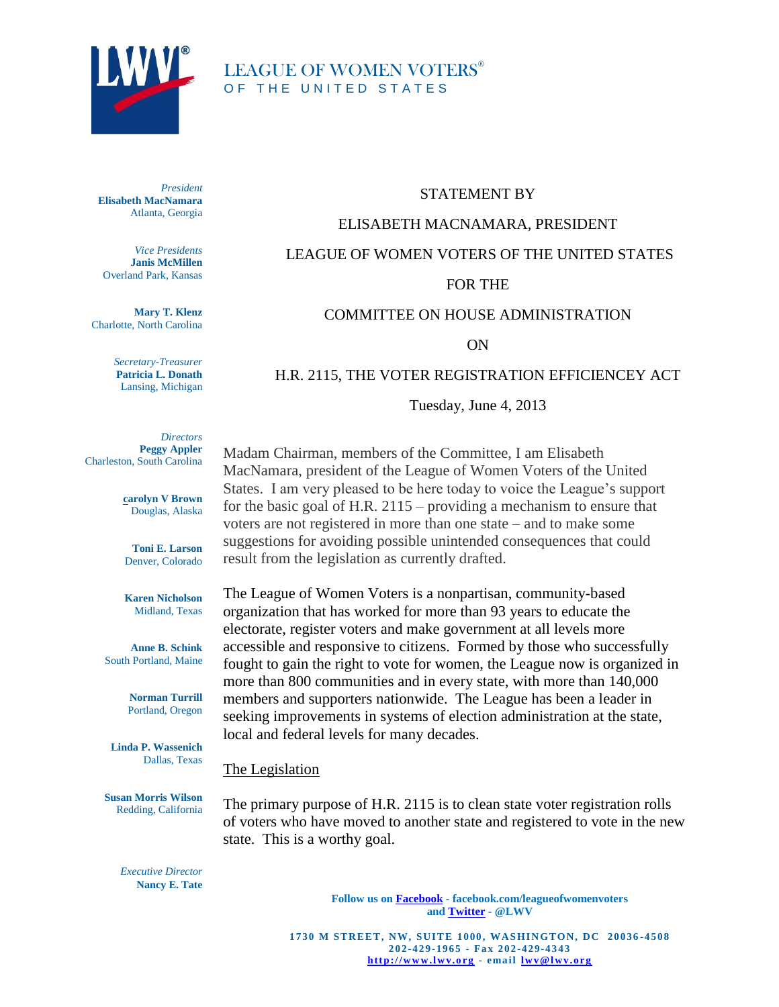

# LEAGUE OF WOMEN VOTERS® OF THE UNITED STATES

*President* **Elisabeth MacNamara** Atlanta, Georgia

*Vice Presidents* **Janis McMillen** Overland Park, Kansas

**Mary T. Klenz** Charlotte, North Carolina

> *Secretary-Treasurer* **Patricia L. Donath** Lansing, Michigan

STATEMENT BY

### ELISABETH MACNAMARA, PRESIDENT

# LEAGUE OF WOMEN VOTERS OF THE UNITED STATES

### FOR THE

### COMMITTEE ON HOUSE ADMINISTRATION

ON

#### H.R. 2115, THE VOTER REGISTRATION EFFICIENCEY ACT

Tuesday, June 4, 2013

*Directors* **Peggy Appler** Charleston, South Carolina

> **carolyn V Brown** Douglas, Alaska

**Toni E. Larson** Denver, Colorado

**Karen Nicholson** Midland, Texas

**Anne B. Schink** South Portland, Maine

> **Norman Turrill** Portland, Oregon

**Linda P. Wassenich** Dallas, Texas

**Susan Morris Wilson** Redding, California

Madam Chairman, members of the Committee, I am Elisabeth MacNamara, president of the League of Women Voters of the United States. I am very pleased to be here today to voice the League's support for the basic goal of H.R. 2115 – providing a mechanism to ensure that voters are not registered in more than one state – and to make some suggestions for avoiding possible unintended consequences that could result from the legislation as currently drafted.

The League of Women Voters is a nonpartisan, community-based organization that has worked for more than 93 years to educate the electorate, register voters and make government at all levels more accessible and responsive to citizens. Formed by those who successfully fought to gain the right to vote for women, the League now is organized in more than 800 communities and in every state, with more than 140,000 members and supporters nationwide. The League has been a leader in seeking improvements in systems of election administration at the state, local and federal levels for many decades.

#### The Legislation

The primary purpose of H.R. 2115 is to clean state voter registration rolls of voters who have moved to another state and registered to vote in the new state. This is a worthy goal.

*Executive Director* **Nancy E. Tate**

> **Follow us on Facebook - facebook.com/leagueofwomenvoters and Twitter - @LWV**

**1730 M STREET, NW, SUITE 1000, WASHINGTON, DC 20036-4508 202 -429 -19 6 5 - Fa x 2 0 2 -4 29-4343 htt p://w w w .lw v.o rg - ema il lw v@lw v.o rg**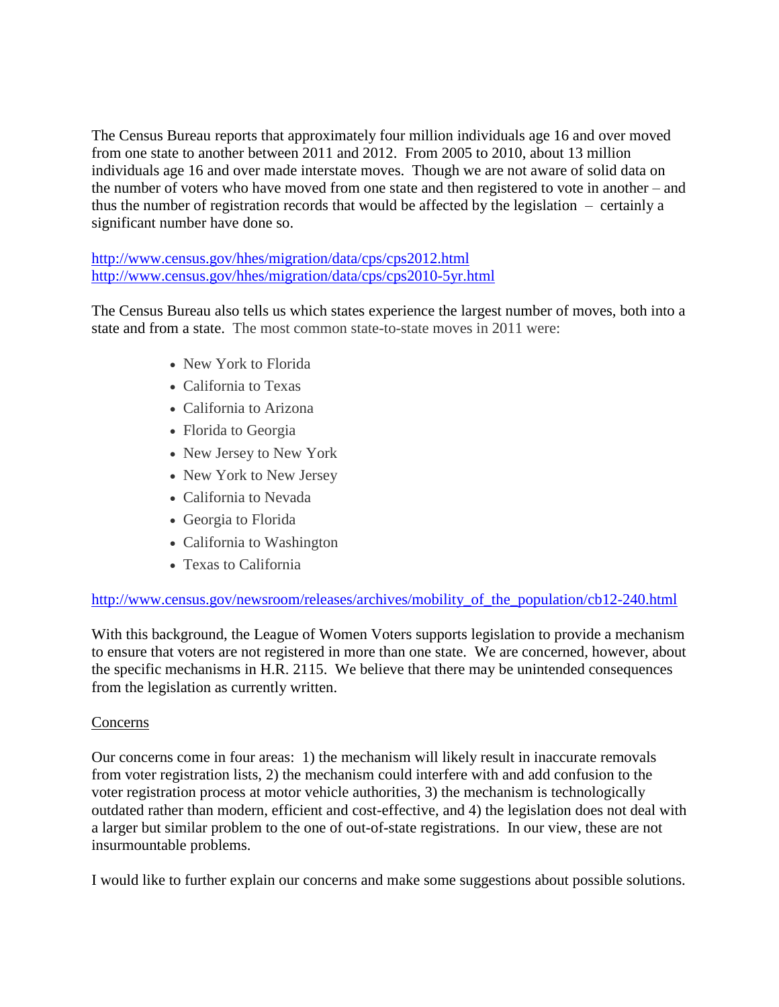The Census Bureau reports that approximately four million individuals age 16 and over moved from one state to another between 2011 and 2012. From 2005 to 2010, about 13 million individuals age 16 and over made interstate moves. Though we are not aware of solid data on the number of voters who have moved from one state and then registered to vote in another – and thus the number of registration records that would be affected by the legislation – certainly a significant number have done so.

<http://www.census.gov/hhes/migration/data/cps/cps2012.html> <http://www.census.gov/hhes/migration/data/cps/cps2010-5yr.html>

The Census Bureau also tells us which states experience the largest number of moves, both into a state and from a state. The most common state-to-state moves in 2011 were:

- New York to Florida
- California to Texas
- California to Arizona
- Florida to Georgia
- New Jersey to New York
- New York to New Jersey
- California to Nevada
- Georgia to Florida
- California to Washington
- Texas to California

# [http://www.census.gov/newsroom/releases/archives/mobility\\_of\\_the\\_population/cb12-240.html](http://www.census.gov/newsroom/releases/archives/mobility_of_the_population/cb12-240.html)

With this background, the League of Women Voters supports legislation to provide a mechanism to ensure that voters are not registered in more than one state. We are concerned, however, about the specific mechanisms in H.R. 2115. We believe that there may be unintended consequences from the legislation as currently written.

### Concerns

Our concerns come in four areas: 1) the mechanism will likely result in inaccurate removals from voter registration lists, 2) the mechanism could interfere with and add confusion to the voter registration process at motor vehicle authorities, 3) the mechanism is technologically outdated rather than modern, efficient and cost-effective, and 4) the legislation does not deal with a larger but similar problem to the one of out-of-state registrations. In our view, these are not insurmountable problems.

I would like to further explain our concerns and make some suggestions about possible solutions.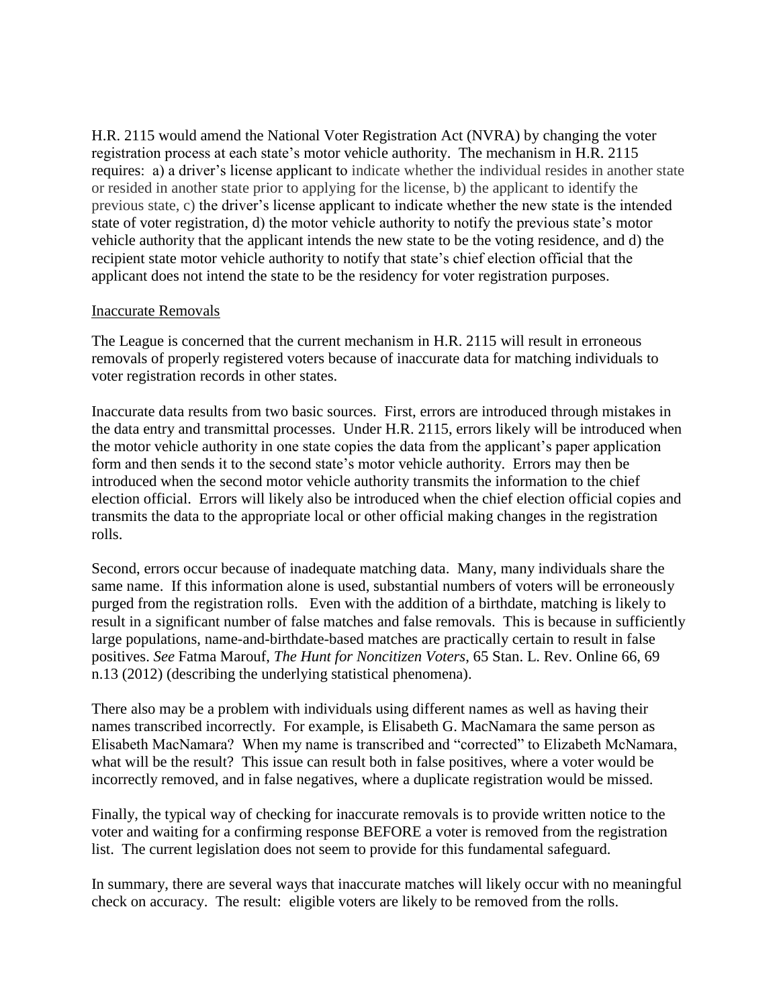H.R. 2115 would amend the National Voter Registration Act (NVRA) by changing the voter registration process at each state's motor vehicle authority. The mechanism in H.R. 2115 requires: a) a driver's license applicant to indicate whether the individual resides in another state or resided in another state prior to applying for the license, b) the applicant to identify the previous state, c) the driver's license applicant to indicate whether the new state is the intended state of voter registration, d) the motor vehicle authority to notify the previous state's motor vehicle authority that the applicant intends the new state to be the voting residence, and d) the recipient state motor vehicle authority to notify that state's chief election official that the applicant does not intend the state to be the residency for voter registration purposes.

### Inaccurate Removals

The League is concerned that the current mechanism in H.R. 2115 will result in erroneous removals of properly registered voters because of inaccurate data for matching individuals to voter registration records in other states.

Inaccurate data results from two basic sources. First, errors are introduced through mistakes in the data entry and transmittal processes. Under H.R. 2115, errors likely will be introduced when the motor vehicle authority in one state copies the data from the applicant's paper application form and then sends it to the second state's motor vehicle authority. Errors may then be introduced when the second motor vehicle authority transmits the information to the chief election official. Errors will likely also be introduced when the chief election official copies and transmits the data to the appropriate local or other official making changes in the registration rolls.

Second, errors occur because of inadequate matching data. Many, many individuals share the same name. If this information alone is used, substantial numbers of voters will be erroneously purged from the registration rolls. Even with the addition of a birthdate, matching is likely to result in a significant number of false matches and false removals. This is because in sufficiently large populations, name-and-birthdate-based matches are practically certain to result in false positives. *See* Fatma Marouf, *The Hunt for Noncitizen Voters*, 65 Stan. L. Rev. Online 66, 69 n.13 (2012) (describing the underlying statistical phenomena).

There also may be a problem with individuals using different names as well as having their names transcribed incorrectly. For example, is Elisabeth G. MacNamara the same person as Elisabeth MacNamara? When my name is transcribed and "corrected" to Elizabeth McNamara, what will be the result? This issue can result both in false positives, where a voter would be incorrectly removed, and in false negatives, where a duplicate registration would be missed.

Finally, the typical way of checking for inaccurate removals is to provide written notice to the voter and waiting for a confirming response BEFORE a voter is removed from the registration list. The current legislation does not seem to provide for this fundamental safeguard.

In summary, there are several ways that inaccurate matches will likely occur with no meaningful check on accuracy. The result: eligible voters are likely to be removed from the rolls.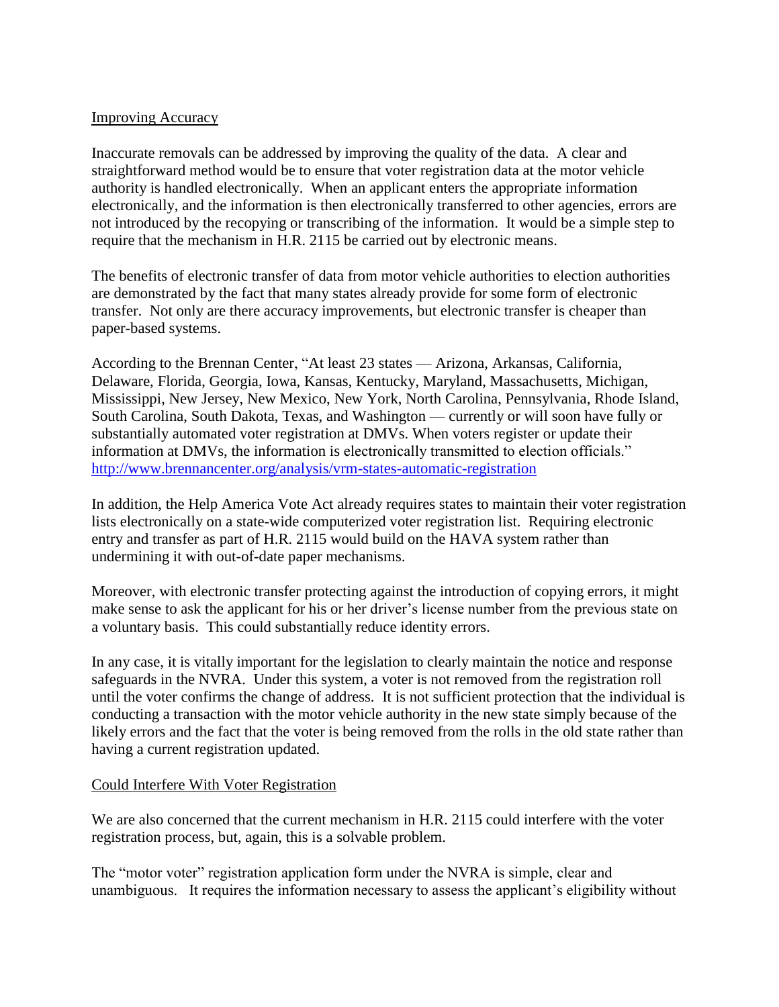### Improving Accuracy

Inaccurate removals can be addressed by improving the quality of the data. A clear and straightforward method would be to ensure that voter registration data at the motor vehicle authority is handled electronically. When an applicant enters the appropriate information electronically, and the information is then electronically transferred to other agencies, errors are not introduced by the recopying or transcribing of the information. It would be a simple step to require that the mechanism in H.R. 2115 be carried out by electronic means.

The benefits of electronic transfer of data from motor vehicle authorities to election authorities are demonstrated by the fact that many states already provide for some form of electronic transfer. Not only are there accuracy improvements, but electronic transfer is cheaper than paper-based systems.

According to the Brennan Center, "At least 23 states — [Arizona,](http://www.brennancenter.org/content/pages/vrm_in_the_states_arizona) [Arkansas,](http://www.brennancenter.org/content/pages/vrm_in_the_states_arkansas) [California,](http://www.brennancenter.org/content/pages/vrm_in_the_states_california) [Delaware,](http://www.brennancenter.org/content/pages/vrm_in_the_states_delaware) [Florida,](http://www.brennancenter.org/content/pages/vrm_in_the_states_florida) [Georgia,](http://www.brennancenter.org/content/pages/vrm_in_the_states_georgia) [Iowa,](http://www.brennancenter.org/content/pages/vrm_in_the_states_iowa) [Kansas,](http://www.brennancenter.org/content/pages/vrm_in_the_states_kansas) [Kentucky,](http://www.brennancenter.org/content/pages/vrm_in_the_states_kentucky) [Maryland,](http://www.brennancenter.org/content/pages/vrm_in_the_states_maryland) [Massachusetts,](http://www.brennancenter.org/content/pages/vrm_in_the_states_massachusetts) [Michigan,](http://www.brennancenter.org/content/pages/vrm_in_the_states_michigan) [Mississippi,](http://www.brennancenter.org/content/pages/vrm_in_the_states_mississippi) [New Jersey,](http://www.brennancenter.org/content/pages/vrm_in_the_states_new_jersey) [New Mexico,](http://www.brennancenter.org/analysis/vrm-states-new-mexico) [New York,](http://www.brennancenter.org/content/pages/vrm_in_the_states_new_york) [North Carolina,](http://www.brennancenter.org/content/pages/vrm_in_the_states_north_carolina) [Pennsylvania,](http://www.brennancenter.org/content/pages/vrm_in_the_states_pennsylvania) [Rhode Island,](http://www.brennancenter.org/content/pages/vrm_in_the_states_rhode_island) [South Carolina,](http://www.brennancenter.org/content/pages/vrm_in_the_states_south_carolina) [South Dakota,](http://www.brennancenter.org/content/pages/vrm_in_the_states_south_dakota) [Texas,](http://www.brennancenter.org/content/pages/vrm_in_the_states_Texas) and [Washington](http://www.brennancenter.org/content/pages/vrm_in_the_states_washington) — currently or will soon have fully or substantially automated voter registration at DMVs. When voters register or update their information at DMVs, the information is electronically transmitted to election officials." <http://www.brennancenter.org/analysis/vrm-states-automatic-registration>

In addition, the Help America Vote Act already requires states to maintain their voter registration lists electronically on a state-wide computerized voter registration list. Requiring electronic entry and transfer as part of H.R. 2115 would build on the HAVA system rather than undermining it with out-of-date paper mechanisms.

Moreover, with electronic transfer protecting against the introduction of copying errors, it might make sense to ask the applicant for his or her driver's license number from the previous state on a voluntary basis. This could substantially reduce identity errors.

In any case, it is vitally important for the legislation to clearly maintain the notice and response safeguards in the NVRA. Under this system, a voter is not removed from the registration roll until the voter confirms the change of address. It is not sufficient protection that the individual is conducting a transaction with the motor vehicle authority in the new state simply because of the likely errors and the fact that the voter is being removed from the rolls in the old state rather than having a current registration updated.

### Could Interfere With Voter Registration

We are also concerned that the current mechanism in H.R. 2115 could interfere with the voter registration process, but, again, this is a solvable problem.

The "motor voter" registration application form under the NVRA is simple, clear and unambiguous. It requires the information necessary to assess the applicant's eligibility without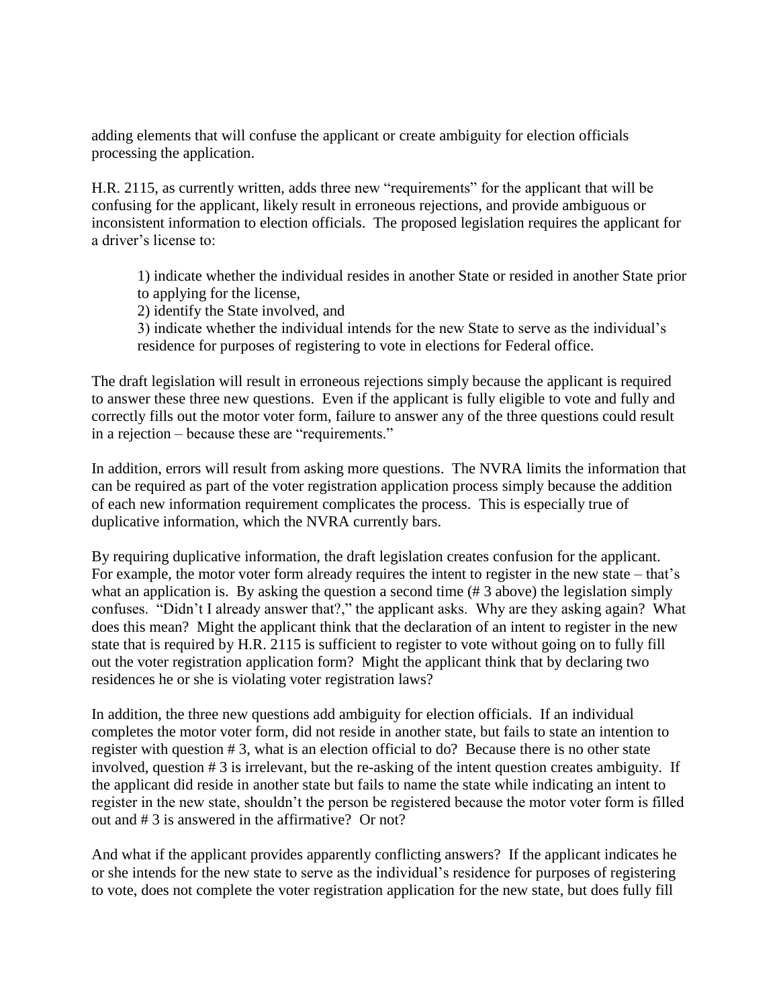adding elements that will confuse the applicant or create ambiguity for election officials processing the application.

H.R. 2115, as currently written, adds three new "requirements" for the applicant that will be confusing for the applicant, likely result in erroneous rejections, and provide ambiguous or inconsistent information to election officials. The proposed legislation requires the applicant for a driver's license to:

1) indicate whether the individual resides in another State or resided in another State prior to applying for the license,

2) identify the State involved, and

3) indicate whether the individual intends for the new State to serve as the individual's residence for purposes of registering to vote in elections for Federal office.

The draft legislation will result in erroneous rejections simply because the applicant is required to answer these three new questions. Even if the applicant is fully eligible to vote and fully and correctly fills out the motor voter form, failure to answer any of the three questions could result in a rejection – because these are "requirements."

In addition, errors will result from asking more questions. The NVRA limits the information that can be required as part of the voter registration application process simply because the addition of each new information requirement complicates the process. This is especially true of duplicative information, which the NVRA currently bars.

By requiring duplicative information, the draft legislation creates confusion for the applicant. For example, the motor voter form already requires the intent to register in the new state – that's what an application is. By asking the question a second time (#3 above) the legislation simply confuses. "Didn't I already answer that?," the applicant asks. Why are they asking again? What does this mean? Might the applicant think that the declaration of an intent to register in the new state that is required by H.R. 2115 is sufficient to register to vote without going on to fully fill out the voter registration application form? Might the applicant think that by declaring two residences he or she is violating voter registration laws?

In addition, the three new questions add ambiguity for election officials. If an individual completes the motor voter form, did not reside in another state, but fails to state an intention to register with question # 3, what is an election official to do? Because there is no other state involved, question # 3 is irrelevant, but the re-asking of the intent question creates ambiguity. If the applicant did reside in another state but fails to name the state while indicating an intent to register in the new state, shouldn't the person be registered because the motor voter form is filled out and # 3 is answered in the affirmative? Or not?

And what if the applicant provides apparently conflicting answers? If the applicant indicates he or she intends for the new state to serve as the individual's residence for purposes of registering to vote, does not complete the voter registration application for the new state, but does fully fill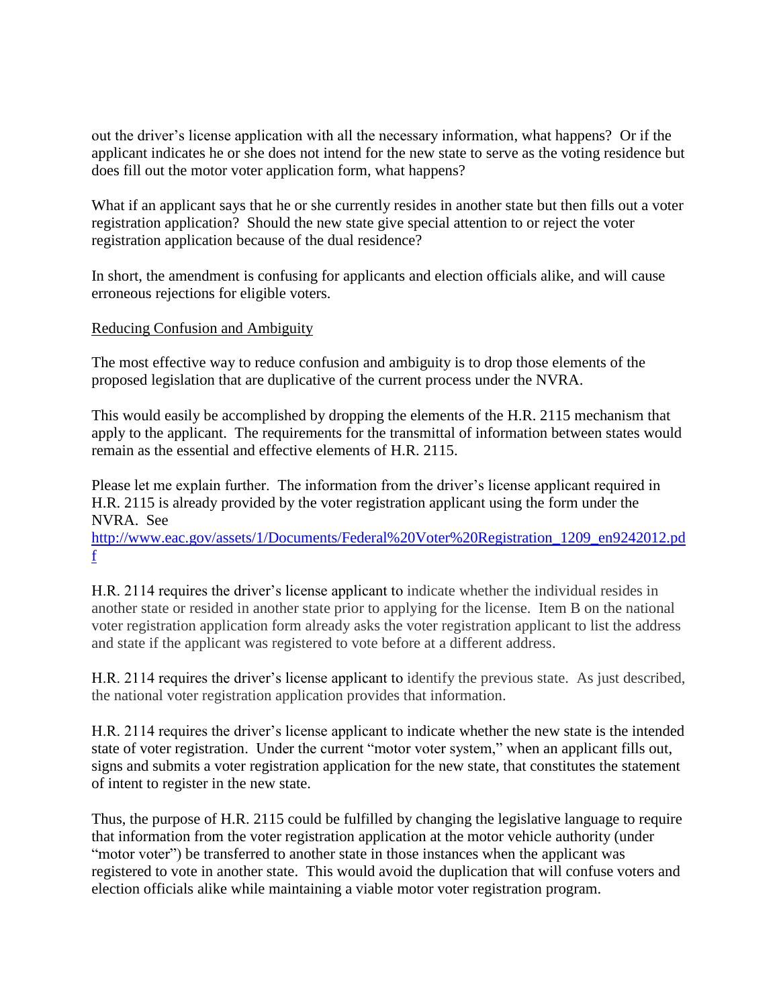out the driver's license application with all the necessary information, what happens? Or if the applicant indicates he or she does not intend for the new state to serve as the voting residence but does fill out the motor voter application form, what happens?

What if an applicant says that he or she currently resides in another state but then fills out a voter registration application? Should the new state give special attention to or reject the voter registration application because of the dual residence?

In short, the amendment is confusing for applicants and election officials alike, and will cause erroneous rejections for eligible voters.

## Reducing Confusion and Ambiguity

The most effective way to reduce confusion and ambiguity is to drop those elements of the proposed legislation that are duplicative of the current process under the NVRA.

This would easily be accomplished by dropping the elements of the H.R. 2115 mechanism that apply to the applicant. The requirements for the transmittal of information between states would remain as the essential and effective elements of H.R. 2115.

Please let me explain further. The information from the driver's license applicant required in H.R. 2115 is already provided by the voter registration applicant using the form under the NVRA. See

[http://www.eac.gov/assets/1/Documents/Federal%20Voter%20Registration\\_1209\\_en9242012.pd](http://www.eac.gov/assets/1/Documents/Federal%20Voter%20Registration_1209_en9242012.pdf) [f](http://www.eac.gov/assets/1/Documents/Federal%20Voter%20Registration_1209_en9242012.pdf)

H.R. 2114 requires the driver's license applicant to indicate whether the individual resides in another state or resided in another state prior to applying for the license. Item B on the national voter registration application form already asks the voter registration applicant to list the address and state if the applicant was registered to vote before at a different address.

H.R. 2114 requires the driver's license applicant to identify the previous state. As just described, the national voter registration application provides that information.

H.R. 2114 requires the driver's license applicant to indicate whether the new state is the intended state of voter registration. Under the current "motor voter system," when an applicant fills out, signs and submits a voter registration application for the new state, that constitutes the statement of intent to register in the new state.

Thus, the purpose of H.R. 2115 could be fulfilled by changing the legislative language to require that information from the voter registration application at the motor vehicle authority (under "motor voter") be transferred to another state in those instances when the applicant was registered to vote in another state. This would avoid the duplication that will confuse voters and election officials alike while maintaining a viable motor voter registration program.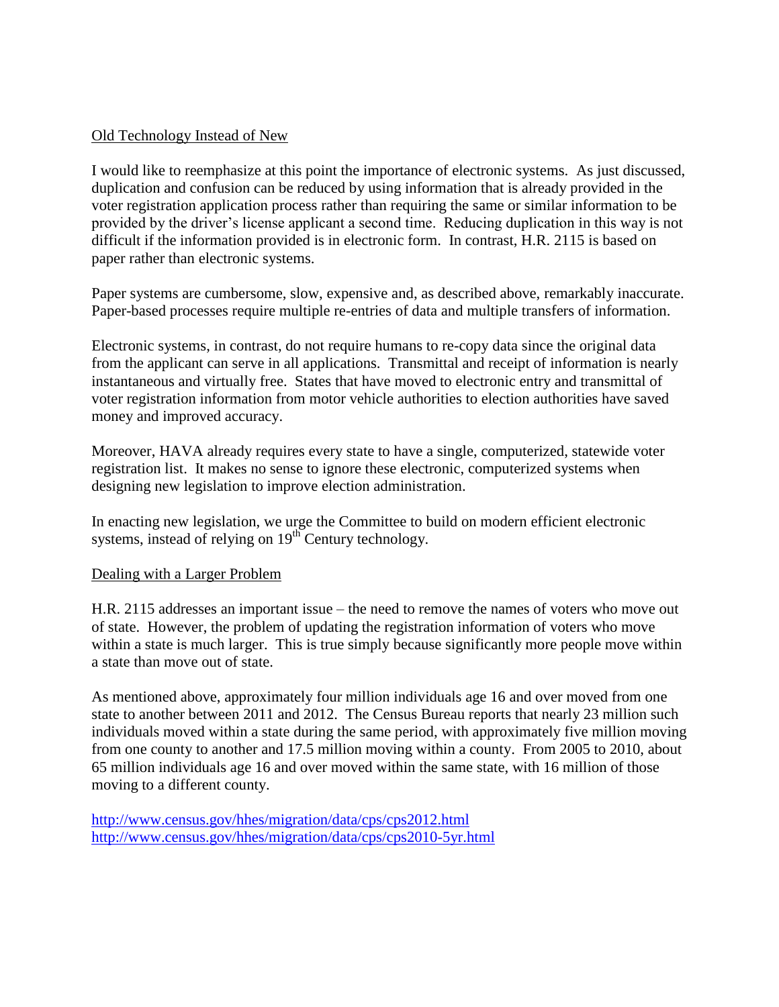## Old Technology Instead of New

I would like to reemphasize at this point the importance of electronic systems. As just discussed, duplication and confusion can be reduced by using information that is already provided in the voter registration application process rather than requiring the same or similar information to be provided by the driver's license applicant a second time. Reducing duplication in this way is not difficult if the information provided is in electronic form. In contrast, H.R. 2115 is based on paper rather than electronic systems.

Paper systems are cumbersome, slow, expensive and, as described above, remarkably inaccurate. Paper-based processes require multiple re-entries of data and multiple transfers of information.

Electronic systems, in contrast, do not require humans to re-copy data since the original data from the applicant can serve in all applications. Transmittal and receipt of information is nearly instantaneous and virtually free. States that have moved to electronic entry and transmittal of voter registration information from motor vehicle authorities to election authorities have saved money and improved accuracy.

Moreover, HAVA already requires every state to have a single, computerized, statewide voter registration list. It makes no sense to ignore these electronic, computerized systems when designing new legislation to improve election administration.

In enacting new legislation, we urge the Committee to build on modern efficient electronic systems, instead of relying on 19<sup>th</sup> Century technology.

### Dealing with a Larger Problem

H.R. 2115 addresses an important issue – the need to remove the names of voters who move out of state. However, the problem of updating the registration information of voters who move within a state is much larger. This is true simply because significantly more people move within a state than move out of state.

As mentioned above, approximately four million individuals age 16 and over moved from one state to another between 2011 and 2012. The Census Bureau reports that nearly 23 million such individuals moved within a state during the same period, with approximately five million moving from one county to another and 17.5 million moving within a county. From 2005 to 2010, about 65 million individuals age 16 and over moved within the same state, with 16 million of those moving to a different county.

<http://www.census.gov/hhes/migration/data/cps/cps2012.html> <http://www.census.gov/hhes/migration/data/cps/cps2010-5yr.html>